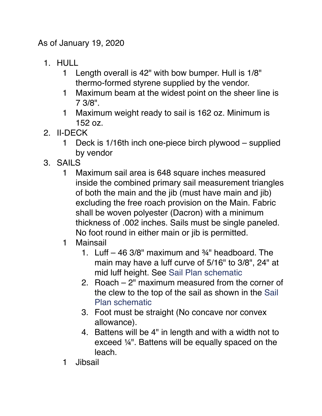As of January 19, 2020

- 1. HULL
	- 1 Length overall is 42" with bow bumper. Hull is 1/8" thermo-formed styrene supplied by the vendor.
	- 1 Maximum beam at the widest point on the sheer line is 7 3/8".
	- 1 Maximum weight ready to sail is 162 oz. Minimum is 152 oz.
- 2. II-DECK
	- 1 Deck is 1/16th inch one-piece birch plywood supplied by vendor
- 3. SAILS
	- 1 Maximum sail area is 648 square inches measured inside the combined primary sail measurement triangles of both the main and the jib (must have main and jib) excluding the free roach provision on the Main. Fabric shall be woven polyester (Dacron) with a minimum thickness of .002 inches. Sails must be single paneled. No foot round in either main or jib is permitted.
	- 1 Mainsail
		- 1. Luff 46 3/8" maximum and ¾" headboard. The main may have a luff curve of 5/16" to 3/8", 24" at mid luff height. See [Sail Plan schematic](http://weebly-file/1/3/6/5/136581453/sail_plan__1_.pdf)
		- 2. Roach 2" maximum measured from the corner of the clew to the top of the sail as shown in the [Sail](http://weebly-file/1/3/6/5/136581453/sail_plan__1_.pdf)  [Plan schematic](http://weebly-file/1/3/6/5/136581453/sail_plan__1_.pdf)
		- 3. Foot must be straight (No concave nor convex allowance).
		- 4. Battens will be 4" in length and with a width not to exceed ¼". Battens will be equally spaced on the leach.
	- 1 Jibsail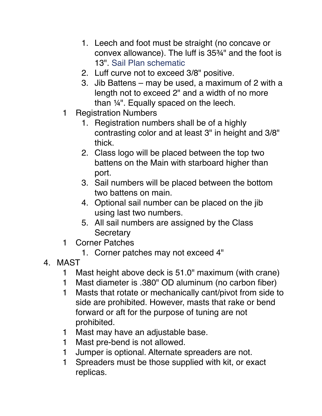- 1. Leech and foot must be straight (no concave or convex allowance). The luff is 35¾" and the foot is 13". [Sail Plan schematic](http://weebly-file/1/3/6/5/136581453/sail_plan__1_.pdf)
- 2. Luff curve not to exceed 3/8" positive.
- 3. Jib Battens may be used, a maximum of 2 with a length not to exceed 2" and a width of no more than ¼". Equally spaced on the leech.
- 1 Registration Numbers
	- 1. Registration numbers shall be of a highly contrasting color and at least 3" in height and 3/8" thick.
	- 2. Class logo will be placed between the top two battens on the Main with starboard higher than port.
	- 3. Sail numbers will be placed between the bottom two battens on main.
	- 4. Optional sail number can be placed on the jib using last two numbers.
	- 5. All sail numbers are assigned by the Class **Secretary**
- 1 Corner Patches
	- 1. Corner patches may not exceed 4"
- 4. MAST
	- 1 Mast height above deck is 51.0" maximum (with crane)
	- 1 Mast diameter is .380" OD aluminum (no carbon fiber)
	- 1 Masts that rotate or mechanically cant/pivot from side to side are prohibited. However, masts that rake or bend forward or aft for the purpose of tuning are not prohibited.
	- 1 Mast may have an adjustable base.
	- 1 Mast pre-bend is not allowed.
	- 1 Jumper is optional. Alternate spreaders are not.
	- 1 Spreaders must be those supplied with kit, or exact replicas.